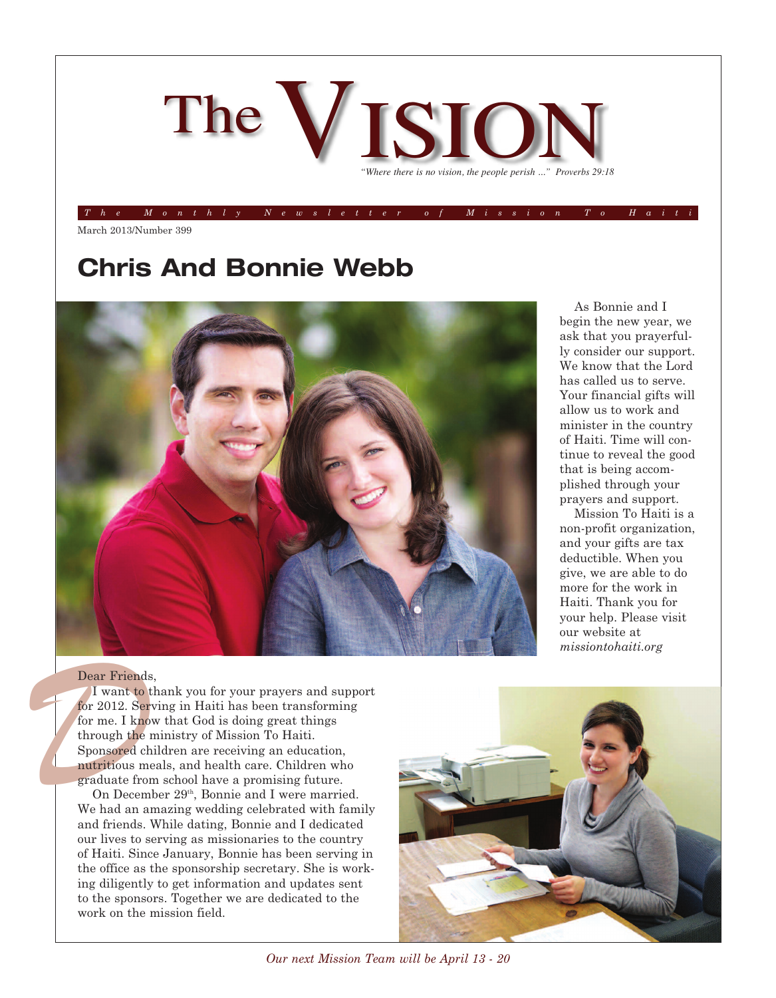

The Monthly Newsletter of Mission To Hait

March 2013/Number 399

## **Chris And Bonnie Webb**



begin the new year, we ask that you prayerfully consider our support. We know that the Lord has called us to serve. Your financial gifts will allow us to work and minister in the country of Haiti. Time will continue to reveal the good that is being accomplished through your prayers and support.

As Bonnie and I

Mission To Haiti is a non-profit organization, and your gifts are tax deductible. When you give, we are able to do more for the work in Haiti. Thank you for your help. Please visit our website at *missiontohaiti.org*

#### Dear Friends,

**Dear Friends<br>
I want to t<br>
I want to t<br>
for 2012. Ser<br>
for me. I know<br>
through the 1<br>
Sponsored ch<br>
nutritious me<br>
graduate fror<br>
On Decem<br>
We had an an<br>
and friends.** I want to thank you for your prayers and support for 2012. Serving in Haiti has been transforming for me. I know that God is doing great things through the ministry of Mission To Haiti. Sponsored children are receiving an education, nutritious meals, and health care. Children who graduate from school have a promising future.

On December 29<sup>th</sup>, Bonnie and I were married. We had an amazing wedding celebrated with family and friends. While dating, Bonnie and I dedicated our lives to serving as missionaries to the country of Haiti. Since January, Bonnie has been serving in the office as the sponsorship secretary. She is working diligently to get information and updates sent to the sponsors. Together we are dedicated to the work on the mission field.



*Our next Mission Team will be April 13 - 20*